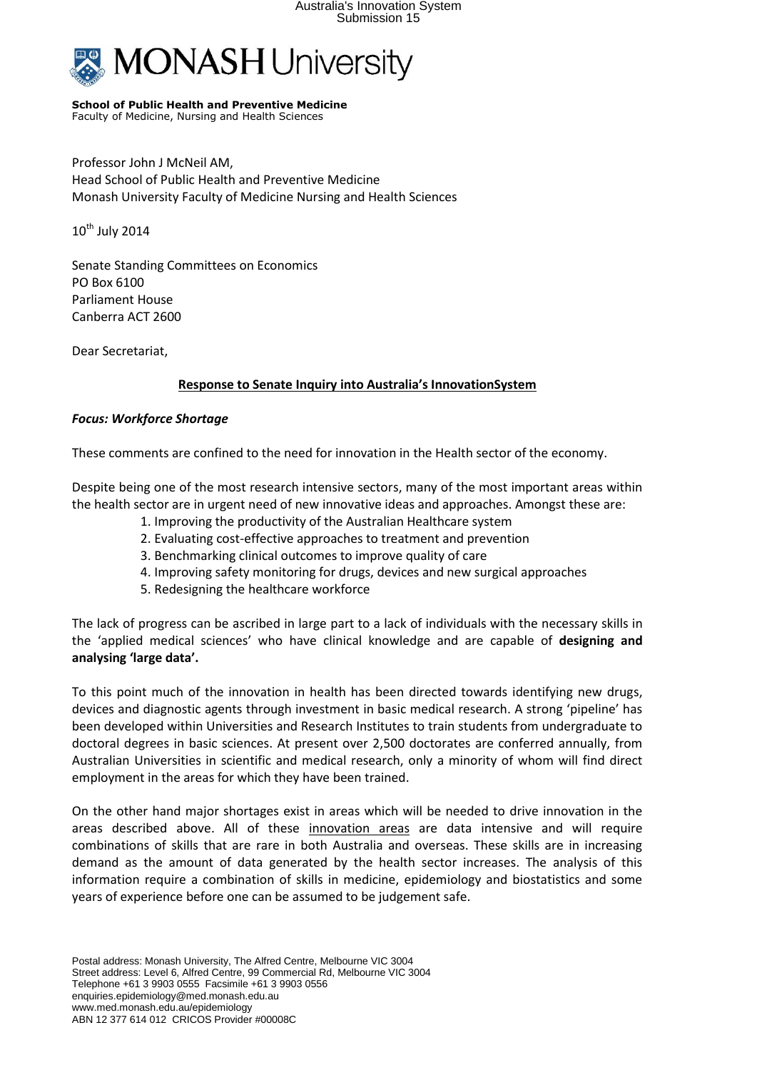

## **School of Public Health and Preventive Medicine**

Faculty of Medicine, Nursing and Health Sciences

Professor John J McNeil AM, Head School of Public Health and Preventive Medicine Monash University Faculty of Medicine Nursing and Health Sciences

 $10^{th}$  July 2014

Senate Standing Committees on Economics PO Box 6100 Parliament House Canberra ACT 2600

Dear Secretariat,

## **Response to Senate Inquiry into Australia's InnovationSystem**

## *Focus: Workforce Shortage*

These comments are confined to the need for innovation in the Health sector of the economy.

Despite being one of the most research intensive sectors, many of the most important areas within the health sector are in urgent need of new innovative ideas and approaches. Amongst these are:

- 1. Improving the productivity of the Australian Healthcare system
- 2. Evaluating cost-effective approaches to treatment and prevention
- 3. Benchmarking clinical outcomes to improve quality of care
- 4. Improving safety monitoring for drugs, devices and new surgical approaches
- 5. Redesigning the healthcare workforce

The lack of progress can be ascribed in large part to a lack of individuals with the necessary skills in the 'applied medical sciences' who have clinical knowledge and are capable of **designing and analysing 'large data'.**

To this point much of the innovation in health has been directed towards identifying new drugs, devices and diagnostic agents through investment in basic medical research. A strong 'pipeline' has been developed within Universities and Research Institutes to train students from undergraduate to doctoral degrees in basic sciences. At present over 2,500 doctorates are conferred annually, from Australian Universities in scientific and medical research, only a minority of whom will find direct employment in the areas for which they have been trained.

On the other hand major shortages exist in areas which will be needed to drive innovation in the areas described above. All of these innovation areas are data intensive and will require combinations of skills that are rare in both Australia and overseas. These skills are in increasing demand as the amount of data generated by the health sector increases. The analysis of this information require a combination of skills in medicine, epidemiology and biostatistics and some years of experience before one can be assumed to be judgement safe.